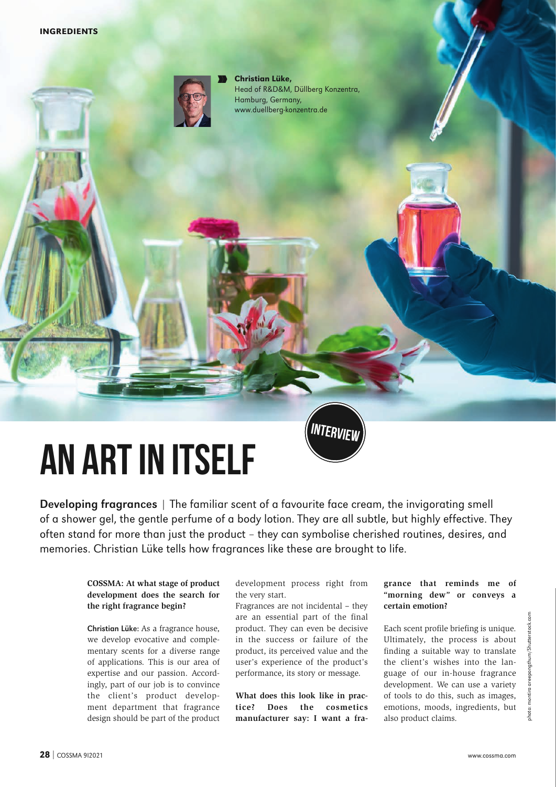

N N

Christian Lüke, Head of R&D&M, Düllberg Konzentra, Hamburg, Germany, www.duellberg-konzentra.de

# **An art in itself**

Developing fragrances | The familiar scent of a favourite face cream, the invigorating smell of a shower gel, the gentle perfume of a body lotion. They are all subtle, but highly effective. They often stand for more than just the product – they can symbolise cherished routines, desires, and memories. Christian Lüke tells how fragrances like these are brought to life.

### **COSSMA: At what stage of product development does the search for the right fragrance begin?**

Christian Lüke: As a fragrance house, we develop evocative and complementary scents for a diverse range of applications. This is our area of expertise and our passion. Accordingly, part of our job is to convince the client's product development department that fragrance design should be part of the product development process right from the very start.

**INTERVIEW**

Fragrances are not incidental – they are an essential part of the final product. They can even be decisive in the success or failure of the product, its perceived value and the user's experience of the product's performance, its story or message.

**What does this look like in practice? Does the cosmetics manufacturer say: I want a fra-**

#### **grance that reminds me of "morning dew" or conveys a certain emotion?**

Each scent profile briefing is unique. Ultimately, the process is about finding a suitable way to translate the client's wishes into the language of our in-house fragrance development. We can use a variety of tools to do this, such as images, emotions, moods, ingredients, but also product claims.